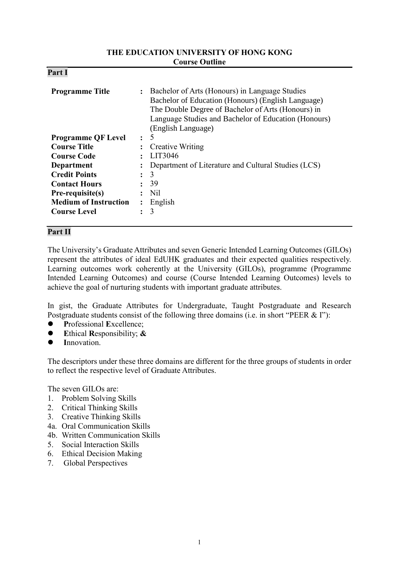### **THE EDUCATION UNIVERSITY OF HONG KONG Course Outline**

| D.<br>'ar<br>4. |  |
|-----------------|--|
|-----------------|--|

| <b>Programme Title</b>       |           | Bachelor of Arts (Honours) in Language Studies<br>Bachelor of Education (Honours) (English Language)<br>The Double Degree of Bachelor of Arts (Honours) in<br>Language Studies and Bachelor of Education (Honours)<br>(English Language) |
|------------------------------|-----------|------------------------------------------------------------------------------------------------------------------------------------------------------------------------------------------------------------------------------------------|
| <b>Programme QF Level</b>    | $\bullet$ | -5                                                                                                                                                                                                                                       |
| <b>Course Title</b>          |           | <b>Creative Writing</b>                                                                                                                                                                                                                  |
| <b>Course Code</b>           |           | LIT3046                                                                                                                                                                                                                                  |
| Department                   |           | Department of Literature and Cultural Studies (LCS)                                                                                                                                                                                      |
| <b>Credit Points</b>         | $\bullet$ | 3                                                                                                                                                                                                                                        |
| <b>Contact Hours</b>         |           | 39                                                                                                                                                                                                                                       |
| Pre-requisite(s)             |           | Nil                                                                                                                                                                                                                                      |
| <b>Medium of Instruction</b> |           | English                                                                                                                                                                                                                                  |
| <b>Course Level</b>          |           | 3                                                                                                                                                                                                                                        |

## **Part II**

The University's Graduate Attributes and seven Generic Intended Learning Outcomes (GILOs) represent the attributes of ideal EdUHK graduates and their expected qualities respectively. Learning outcomes work coherently at the University (GILOs), programme (Programme Intended Learning Outcomes) and course (Course Intended Learning Outcomes) levels to achieve the goal of nurturing students with important graduate attributes.

In gist, the Graduate Attributes for Undergraduate, Taught Postgraduate and Research Postgraduate students consist of the following three domains (i.e. in short "PEER & I"):

- **P**rofessional **E**xcellence;
- **E**thical **R**esponsibility; **&**
- **I**nnovation.

The descriptors under these three domains are different for the three groups of students in order to reflect the respective level of Graduate Attributes.

The seven GILOs are:

- 1. Problem Solving Skills
- 2. Critical Thinking Skills
- 3. Creative Thinking Skills
- 4a. Oral Communication Skills
- 4b. Written Communication Skills
- 5. Social Interaction Skills
- 6. Ethical Decision Making
- 7. Global Perspectives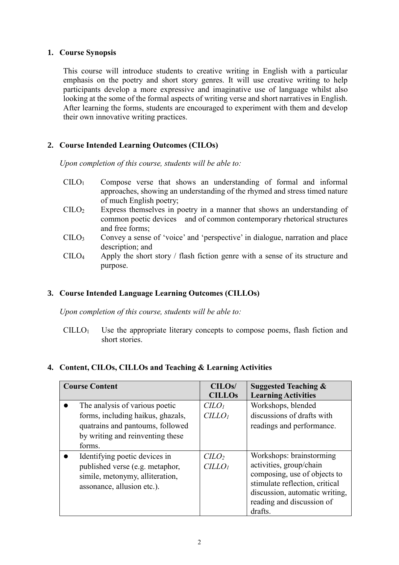### **1. Course Synopsis**

This course will introduce students to creative writing in English with a particular emphasis on the poetry and short story genres. It will use creative writing to help participants develop a more expressive and imaginative use of language whilst also looking at the some of the formal aspects of writing verse and short narratives in English. After learning the forms, students are encouraged to experiment with them and develop their own innovative writing practices.

# **2. Course Intended Learning Outcomes (CILOs)**

*Upon completion of this course, students will be able to:*

- CILO<sup>1</sup> Compose verse that shows an understanding of formal and informal approaches, showing an understanding of the rhymed and stress timed nature of much English poetry;
- CILO<sup>2</sup> Express themselves in poetry in a manner that shows an understanding of common poetic devices and of common contemporary rhetorical structures and free forms;
- $\text{CHO}_3$  Convey a sense of 'voice' and 'perspective' in dialogue, narration and place description; and
- CILO<sup>4</sup> Apply the short story / flash fiction genre with a sense of its structure and purpose.

## **3. Course Intended Language Learning Outcomes (CILLOs)**

*Upon completion of this course, students will be able to:*

 $CILLO<sub>1</sub>$  Use the appropriate literary concepts to compose poems, flash fiction and short stories.

## **4. Content, CILOs, CILLOs and Teaching & Learning Activities**

| <b>Course Content</b>                                                                                                                                 | CILO <sub>s</sub> /<br><b>CILLOS</b>              | <b>Suggested Teaching &amp;</b><br><b>Learning Activities</b>                                                                                                                                   |
|-------------------------------------------------------------------------------------------------------------------------------------------------------|---------------------------------------------------|-------------------------------------------------------------------------------------------------------------------------------------------------------------------------------------------------|
| The analysis of various poetic<br>forms, including haikus, ghazals,<br>quatrains and pantoums, followed<br>by writing and reinventing these<br>forms. | C <sub>LO<sub>l</sub></sub><br>CILLO <sub>1</sub> | Workshops, blended<br>discussions of drafts with<br>readings and performance.                                                                                                                   |
| Identifying poetic devices in<br>published verse (e.g. metaphor,<br>simile, metonymy, alliteration,<br>assonance, allusion etc.).                     | $CCILLO1$                                         | Workshops: brainstorming<br>activities, group/chain<br>composing, use of objects to<br>stimulate reflection, critical<br>discussion, automatic writing,<br>reading and discussion of<br>drafts. |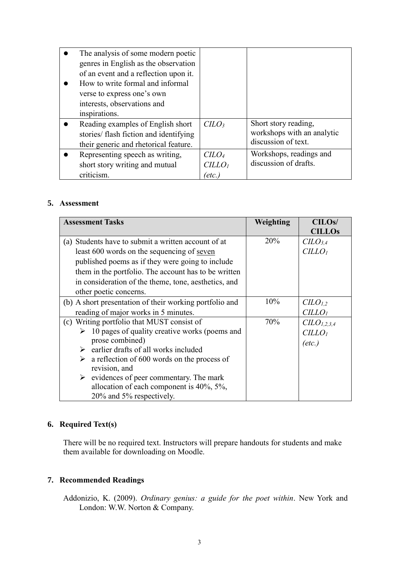| The analysis of some modern poetic<br>genres in English as the observation<br>of an event and a reflection upon it.<br>How to write formal and informal<br>verse to express one's own<br>interests, observations and<br>inspirations. |                              |                                                                           |
|---------------------------------------------------------------------------------------------------------------------------------------------------------------------------------------------------------------------------------------|------------------------------|---------------------------------------------------------------------------|
| Reading examples of English short<br>stories/ flash fiction and identifying<br>their generic and rhetorical feature.                                                                                                                  | $C LO_3$                     | Short story reading,<br>workshops with an analytic<br>discussion of text. |
| Representing speech as writing,                                                                                                                                                                                                       | C <sub>LO<sub>4</sub></sub>  | Workshops, readings and                                                   |
| short story writing and mutual<br>criticism.                                                                                                                                                                                          | CILLO <sub>1</sub><br>(etc.) | discussion of drafts.                                                     |

### **5. Assessment**

| <b>Assessment Tasks</b>                                      | Weighting | <b>CILOs/</b>                   |
|--------------------------------------------------------------|-----------|---------------------------------|
|                                                              |           | <b>CILLOs</b>                   |
| (a) Students have to submit a written account of at          | 20%       | C <sub>L</sub> O <sub>3.4</sub> |
| least 600 words on the sequencing of seven                   |           | CILLO <sub>I</sub>              |
| published poems as if they were going to include             |           |                                 |
| them in the portfolio. The account has to be written         |           |                                 |
| in consideration of the theme, tone, aesthetics, and         |           |                                 |
| other poetic concerns.                                       |           |                                 |
| (b) A short presentation of their working portfolio and      | 10%       | CLO <sub>1,2</sub>              |
| reading of major works in 5 minutes.                         |           | CILLO <sub>1</sub>              |
| (c) Writing portfolio that MUST consist of                   | 70%       | CLO <sub>1,2,3,4</sub>          |
| 10 pages of quality creative works (poems and<br>➤           |           | CILLO <sub>1</sub>              |
| prose combined)                                              |           | $(\text{etc.})$                 |
| $\triangleright$ earlier drafts of all works included        |           |                                 |
| $\triangleright$ a reflection of 600 words on the process of |           |                                 |
| revision, and                                                |           |                                 |
| $\triangleright$ evidences of peer commentary. The mark      |           |                                 |
| allocation of each component is $40\%, 5\%,$                 |           |                                 |
| 20% and 5% respectively.                                     |           |                                 |

# **6. Required Text(s)**

There will be no required text. Instructors will prepare handouts for students and make them available for downloading on Moodle.

## **7. Recommended Readings**

Addonizio, K. (2009). *Ordinary genius: a guide for the poet within*. New York and London: W.W. Norton & Company.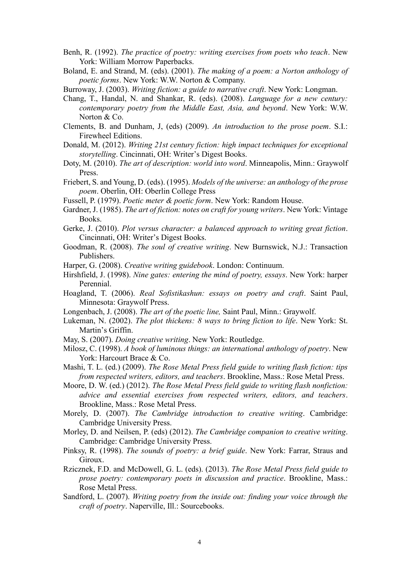- Benh, R. (1992). *The practice of poetry: writing exercises from poets who teach*. New York: William Morrow Paperbacks.
- Boland, E. and Strand, M. (eds). (2001). *The making of a poem: a Norton anthology of poetic forms*. New York: W.W. Norton & Company.

Burroway, J. (2003). *Writing fiction: a guide to narrative craft*. New York: Longman.

- Chang, T., Handal, N. and Shankar, R. (eds). (2008). *Language for a new century: contemporary poetry from the Middle East, Asia, and beyond*. New York: W.W. Norton & Co.
- Clements, B. and Dunham, J, (eds) (2009). *An introduction to the prose poem*. S.I.: Firewheel Editions.
- Donald, M. (2012). *Writing 21st century fiction: high impact techniques for exceptional storytelling*. Cincinnati, OH: Writer's Digest Books.
- Doty, M. (2010). *The art of description: world into word*. Minneapolis, Minn.: Graywolf Press.
- Friebert, S. and Young, D. (eds). (1995). *Models of the universe: an anthology of the prose poem*. Oberlin, OH: Oberlin College Press
- Fussell, P. (1979). *Poetic meter & poetic form*. New York: Random House.
- Gardner, J. (1985). *The art of fiction: notes on craft for young writers*. New York: Vintage Books.
- Gerke, J. (2010). *Plot versus character: a balanced approach to writing great fiction*. Cincinnati, OH: Writer's Digest Books.
- Goodman, R. (2008). *The soul of creative writing*. New Burnswick, N.J.: Transaction Publishers.
- Harper, G. (2008). *Creative writing guidebook*. London: Continuum.
- Hirshfield, J. (1998). *Nine gates: entering the mind of poetry, essays*. New York: harper Perennial.
- Hoagland, T. (2006). *Real Sofistikashun: essays on poetry and craft*. Saint Paul, Minnesota: Graywolf Press.
- Longenbach, J. (2008). *The art of the poetic line,* Saint Paul, Minn.: Graywolf.
- Lukeman, N. (2002). *The plot thickens: 8 ways to bring fiction to life*. New York: St. Martin's Griffin.
- May, S. (2007). *Doing creative writing*. New York: Routledge.
- Milosz, C. (1998). *A book of luminous things: an international anthology of poetry*. New York: Harcourt Brace & Co.
- Mashi, T. L. (ed.) (2009). *The Rose Metal Press field guide to writing flash fiction: tips from respected writers, editors, and teachers*. Brookline, Mass.: Rose Metal Press.
- Moore, D. W. (ed.) (2012). *The Rose Metal Press field guide to writing flash nonfiction: advice and essential exercises from respected writers, editors, and teachers*. Brookline, Mass.: Rose Metal Press.
- Morely, D. (2007). *The Cambridge introduction to creative writing*. Cambridge: Cambridge University Press.
- Morley, D. and Neilsen, P. (eds) (2012). *The Cambridge companion to creative writing*. Cambridge: Cambridge University Press.
- Pinksy, R. (1998). *The sounds of poetry: a brief guide*. New York: Farrar, Straus and Giroux.
- Rzicznek, F.D. and McDowell, G. L. (eds). (2013). *The Rose Metal Press field guide to prose poetry: contemporary poets in discussion and practice*. Brookline, Mass.: Rose Metal Press.
- Sandford, L. (2007). *Writing poetry from the inside out: finding your voice through the craft of poetry*. Naperville, Ill.: Sourcebooks.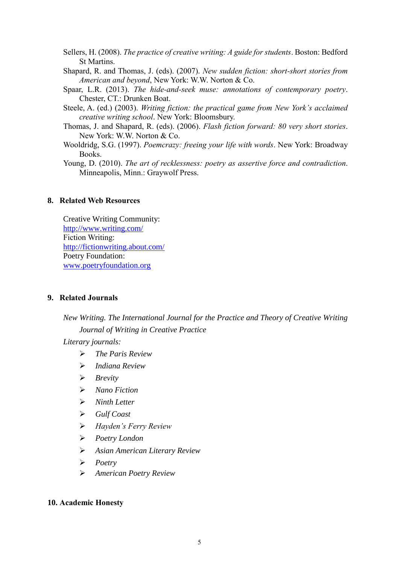- Sellers, H. (2008). *The practice of creative writing: A guide for students*. Boston: Bedford St Martins.
- Shapard, R. and Thomas, J. (eds). (2007). *New sudden fiction: short-short stories from American and beyond*, New York: W.W. Norton & Co.
- Spaar, L.R. (2013). *The hide-and-seek muse: annotations of contemporary poetry*. Chester, CT.: Drunken Boat.
- Steele, A. (ed.) (2003). *Writing fiction: the practical game from New York's acclaimed creative writing school*. New York: Bloomsbury.
- Thomas, J. and Shapard, R. (eds). (2006). *Flash fiction forward: 80 very short stories*. New York: W.W. Norton & Co.
- Wooldridg, S.G. (1997). *Poemcrazy: freeing your life with words*. New York: Broadway Books.
- Young, D. (2010). *The art of recklessness: poetry as assertive force and contradiction*. Minneapolis, Minn.: Graywolf Press.

### **8. Related Web Resources**

Creative Writing Community: <http://www.writing.com/> Fiction Writing: <http://fictionwriting.about.com/> Poetry Foundation: [www.poetryfoundation.org](http://www.poetryfoundation.org/)

### **9. Related Journals**

*New Writing. The International Journal for the Practice and Theory of Creative Writing Journal of Writing in Creative Practice*

*Literary journals:*

- *The Paris Review*
- *Indiana Review*
- *Brevity*
- *Nano Fiction*
- *Ninth Letter*
- *Gulf Coast*
- *Hayden's Ferry Review*
- *Poetry London*
- *Asian American Literary Review*
- *Poetry*
- *American Poetry Review*

### **10. Academic Honesty**